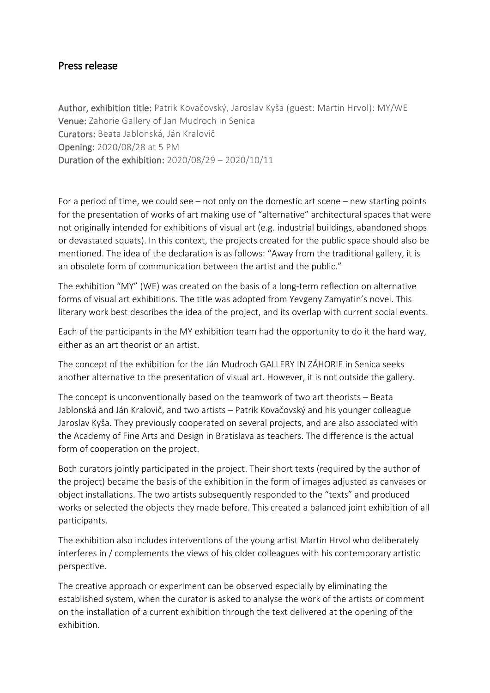## Press release

Author, exhibition title: Patrik Kovačovský, Jaroslav Kyša (guest: Martin Hrvol): MY/WE Venue: Zahorie Gallery of Jan Mudroch in Senica Curators: Beata Jablonská, Ján Kralovič Opening: 2020/08/28 at 5 PM Duration of the exhibition: 2020/08/29 – 2020/10/11

For a period of time, we could see – not only on the domestic art scene – new starting points for the presentation of works of art making use of "alternative" architectural spaces that were not originally intended for exhibitions of visual art (e.g. industrial buildings, abandoned shops or devastated squats). In this context, the projects created for the public space should also be mentioned. The idea of the declaration is as follows: "Away from the traditional gallery, it is an obsolete form of communication between the artist and the public."

The exhibition "MY" (WE) was created on the basis of a long-term reflection on alternative forms of visual art exhibitions. The title was adopted from Yevgeny Zamyatin's novel. This literary work best describes the idea of the project, and its overlap with current social events.

Each of the participants in the MY exhibition team had the opportunity to do it the hard way, either as an art theorist or an artist.

The concept of the exhibition for the Ján Mudroch GALLERY IN ZÁHORIE in Senica seeks another alternative to the presentation of visual art. However, it is not outside the gallery.

The concept is unconventionally based on the teamwork of two art theorists – Beata Jablonská and Ján Kralovič, and two artists – Patrik Kovačovský and his younger colleague Jaroslav Kyša. They previously cooperated on several projects, and are also associated with the Academy of Fine Arts and Design in Bratislava as teachers. The difference is the actual form of cooperation on the project.

Both curators jointly participated in the project. Their short texts (required by the author of the project) became the basis of the exhibition in the form of images adjusted as canvases or object installations. The two artists subsequently responded to the "texts" and produced works or selected the objects they made before. This created a balanced joint exhibition of all participants.

The exhibition also includes interventions of the young artist Martin Hrvol who deliberately interferes in / complements the views of his older colleagues with his contemporary artistic perspective.

The creative approach or experiment can be observed especially by eliminating the established system, when the curator is asked to analyse the work of the artists or comment on the installation of a current exhibition through the text delivered at the opening of the exhibition.